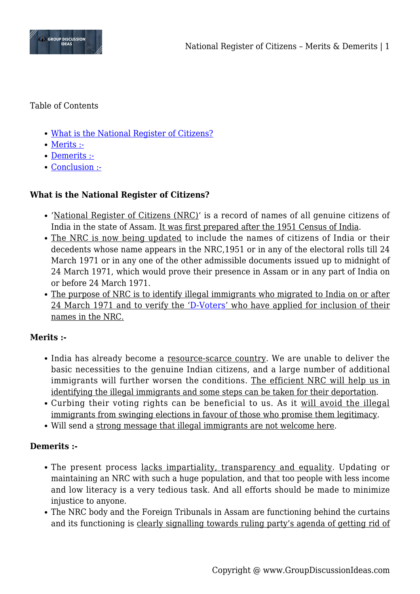

Table of Contents

- [What is the National Register of Citizens?](#page--1-0)
- [Merits :-](#page--1-0)
- [Demerits :-](#page--1-0)
- [Conclusion :-](#page--1-0)

# **What is the National Register of Citizens?**

- 'National Register of Citizens (NRC)' is a record of names of all genuine citizens of India in the state of Assam. It was first prepared after the 1951 Census of India.
- The NRC is now being updated to include the names of citizens of India or their decedents whose name appears in the NRC,1951 or in any of the electoral rolls till 24 March 1971 or in any one of the other admissible documents issued up to midnight of 24 March 1971, which would prove their presence in Assam or in any part of India on or before 24 March 1971.
- The purpose of NRC is to identify illegal immigrants who migrated to India on or after 24 March 1971 and to verify the '[D-Voters'](https://en.wikipedia.org/wiki/D_voter) who have applied for inclusion of their names in the NRC.

# **Merits :-**

- India has already become a resource-scarce country. We are unable to deliver the basic necessities to the genuine Indian citizens, and a large number of additional immigrants will further worsen the conditions. The efficient NRC will help us in identifying the illegal immigrants and some steps can be taken for their deportation.
- Curbing their voting rights can be beneficial to us. As it will avoid the illegal immigrants from swinging elections in favour of those who promise them legitimacy.
- Will send a strong message that illegal immigrants are not welcome here.

## **Demerits :-**

- The present process lacks impartiality, transparency and equality. Updating or maintaining an NRC with such a huge population, and that too people with less income and low literacy is a very tedious task. And all efforts should be made to minimize injustice to anyone.
- The NRC body and the Foreign Tribunals in Assam are functioning behind the curtains and its functioning is clearly signalling towards ruling party's agenda of getting rid of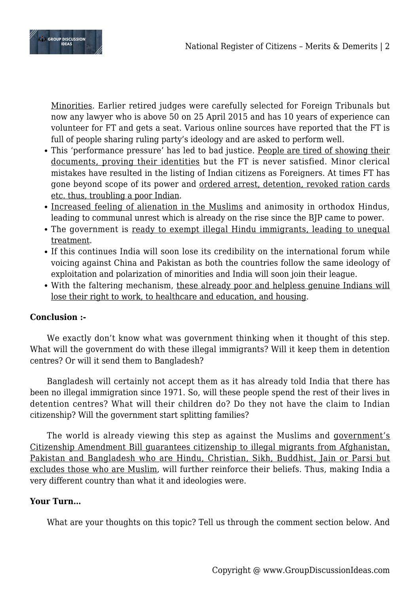

Minorities. Earlier retired judges were carefully selected for Foreign Tribunals but now any lawyer who is above 50 on 25 April 2015 and has 10 years of experience can volunteer for FT and gets a seat. Various online sources have reported that the FT is full of people sharing ruling party's ideology and are asked to perform well.

- This 'performance pressure' has led to bad justice. People are tired of showing their documents, proving their identities but the FT is never satisfied. Minor clerical mistakes have resulted in the listing of Indian citizens as Foreigners. At times FT has gone beyond scope of its power and ordered arrest, detention, revoked ration cards etc. thus, troubling a poor Indian.
- Increased feeling of alienation in the Muslims and animosity in orthodox Hindus, leading to communal unrest which is already on the rise since the BJP came to power.
- The government is ready to exempt illegal Hindu immigrants, leading to unequal treatment.
- If this continues India will soon lose its credibility on the international forum while voicing against China and Pakistan as both the countries follow the same ideology of exploitation and polarization of minorities and India will soon join their league.
- With the faltering mechanism, these already poor and helpless genuine Indians will lose their right to work, to healthcare and education, and housing.

# **Conclusion :-**

We exactly don't know what was government thinking when it thought of this step. What will the government do with these illegal immigrants? Will it keep them in detention centres? Or will it send them to Bangladesh?

Bangladesh will certainly not accept them as it has already told India that there has been no illegal immigration since 1971. So, will these people spend the rest of their lives in detention centres? What will their children do? Do they not have the claim to Indian citizenship? Will the government start splitting families?

The world is already viewing this step as against the Muslims and government's Citizenship Amendment Bill guarantees citizenship to illegal migrants from Afghanistan, Pakistan and Bangladesh who are Hindu, Christian, Sikh, Buddhist, Jain or Parsi but excludes those who are Muslim, will further reinforce their beliefs. Thus, making India a very different country than what it and ideologies were.

## **Your Turn…**

What are your thoughts on this topic? Tell us through the comment section below. And